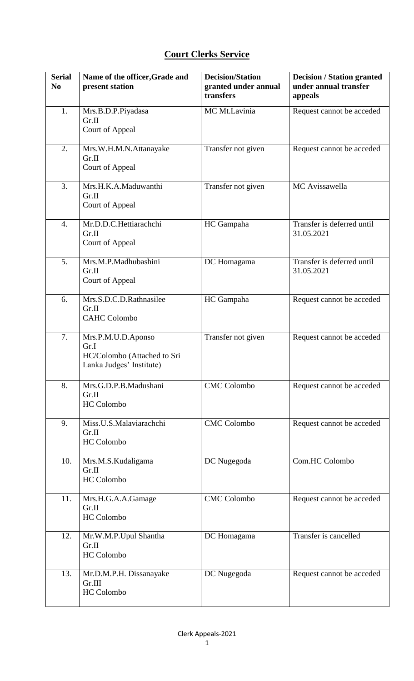## **Court Clerks Service**

| <b>Serial</b><br>N <sub>0</sub> | Name of the officer, Grade and<br>present station                                     | <b>Decision/Station</b><br>granted under annual<br>transfers | <b>Decision / Station granted</b><br>under annual transfer<br>appeals |
|---------------------------------|---------------------------------------------------------------------------------------|--------------------------------------------------------------|-----------------------------------------------------------------------|
| 1.                              | Mrs.B.D.P.Piyadasa<br>Gr.II<br>Court of Appeal                                        | MC Mt.Lavinia                                                | Request cannot be acceded                                             |
| 2.                              | Mrs.W.H.M.N.Attanayake<br>Gr.II<br>Court of Appeal                                    | Transfer not given                                           | Request cannot be acceded                                             |
| 3.                              | Mrs.H.K.A.Maduwanthi<br>Gr.II<br>Court of Appeal                                      | Transfer not given                                           | MC Avissawella                                                        |
| $\overline{4}$ .                | Mr.D.D.C.Hettiarachchi<br>Gr.II<br>Court of Appeal                                    | HC Gampaha                                                   | Transfer is deferred until<br>31.05.2021                              |
| 5.                              | Mrs.M.P.Madhubashini<br>Gr.II<br>Court of Appeal                                      | DC Homagama                                                  | Transfer is deferred until<br>31.05.2021                              |
| 6.                              | Mrs.S.D.C.D.Rathnasilee<br>Gr.II<br><b>CAHC Colombo</b>                               | HC Gampaha                                                   | Request cannot be acceded                                             |
| 7.                              | Mrs.P.M.U.D.Aponso<br>Gr.I<br>HC/Colombo (Attached to Sri<br>Lanka Judges' Institute) | Transfer not given                                           | Request cannot be acceded                                             |
| 8.                              | Mrs.G.D.P.B.Madushani<br>Gr.II<br><b>HC</b> Colombo                                   | <b>CMC</b> Colombo                                           | Request cannot be acceded                                             |
| 9.                              | Miss.U.S.Malaviarachchi<br>Gr.II<br>HC Colombo                                        | <b>CMC</b> Colombo                                           | Request cannot be acceded                                             |
| 10.                             | Mrs.M.S.Kudaligama<br>Gr.II<br><b>HC</b> Colombo                                      | DC Nugegoda                                                  | Com.HC Colombo                                                        |
| 11.                             | Mrs.H.G.A.A.Gamage<br>Gr.II<br><b>HC</b> Colombo                                      | <b>CMC</b> Colombo                                           | Request cannot be acceded                                             |
| 12.                             | Mr.W.M.P.Upul Shantha<br>Gr.II<br>HC Colombo                                          | DC Homagama                                                  | Transfer is cancelled                                                 |
| 13.                             | Mr.D.M.P.H. Dissanayake<br>Gr.III<br>HC Colombo                                       | DC Nugegoda                                                  | Request cannot be acceded                                             |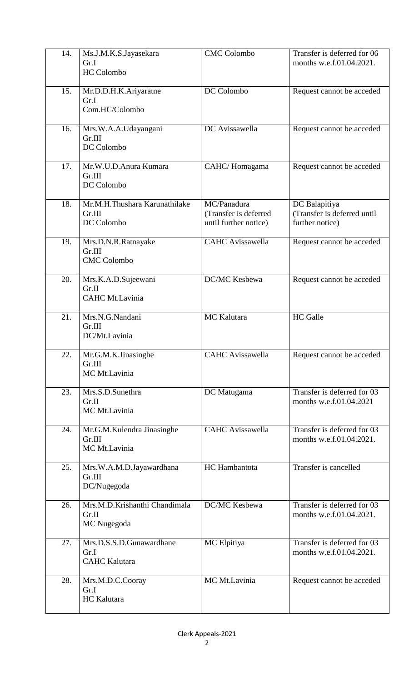| 14. | Ms.J.M.K.S.Jayasekara<br>Gr.I<br><b>HC</b> Colombo       | <b>CMC</b> Colombo                                            | Transfer is deferred for 06<br>months w.e.f.01.04.2021.         |
|-----|----------------------------------------------------------|---------------------------------------------------------------|-----------------------------------------------------------------|
| 15. | Mr.D.D.H.K.Ariyaratne<br>Gr.I<br>Com.HC/Colombo          | DC Colombo                                                    | Request cannot be acceded                                       |
| 16. | Mrs.W.A.A.Udayangani<br>Gr.III<br>DC Colombo             | DC Avissawella                                                | Request cannot be acceded                                       |
| 17. | Mr.W.U.D.Anura Kumara<br>Gr.III<br>DC Colombo            | CAHC/Homagama                                                 | Request cannot be acceded                                       |
| 18. | Mr.M.H.Thushara Karunathilake<br>Gr.III<br>DC Colombo    | MC/Panadura<br>(Transfer is deferred<br>until further notice) | DC Balapitiya<br>(Transfer is deferred until<br>further notice) |
| 19. | Mrs.D.N.R.Ratnayake<br>Gr.III<br><b>CMC</b> Colombo      | <b>CAHC</b> Avissawella                                       | Request cannot be acceded                                       |
| 20. | Mrs.K.A.D.Sujeewani<br>Gr.II<br>CAHC Mt.Lavinia          | DC/MC Kesbewa                                                 | Request cannot be acceded                                       |
| 21. | Mrs.N.G.Nandani<br>Gr.III<br>DC/Mt.Lavinia               | MC Kalutara                                                   | <b>HC</b> Galle                                                 |
| 22. | Mr.G.M.K.Jinasinghe<br>Gr.III<br>MC Mt.Lavinia           | <b>CAHC</b> Avissawella                                       | Request cannot be acceded                                       |
| 23. | Mrs.S.D.Sunethra<br>Gr.II<br>MC Mt.Lavinia               | DC Matugama                                                   | Transfer is deferred for 03<br>months w.e.f.01.04.2021          |
| 24. | Mr.G.M.Kulendra Jinasinghe<br>Gr.III<br>MC Mt.Lavinia    | <b>CAHC</b> Avissawella                                       | Transfer is deferred for 03<br>months w.e.f.01.04.2021.         |
| 25. | Mrs.W.A.M.D.Jayawardhana<br>Gr.III<br>DC/Nugegoda        | HC Hambantota                                                 | Transfer is cancelled                                           |
| 26. | Mrs.M.D.Krishanthi Chandimala<br>Gr.II<br>MC Nugegoda    | DC/MC Kesbewa                                                 | Transfer is deferred for 03<br>months w.e.f.01.04.2021.         |
| 27. | Mrs.D.S.S.D.Gunawardhane<br>Gr.I<br><b>CAHC</b> Kalutara | MC Elpitiya                                                   | Transfer is deferred for 03<br>months w.e.f.01.04.2021.         |
| 28. | Mrs.M.D.C.Cooray<br>Gr.I<br>HC Kalutara                  | MC Mt.Lavinia                                                 | Request cannot be acceded                                       |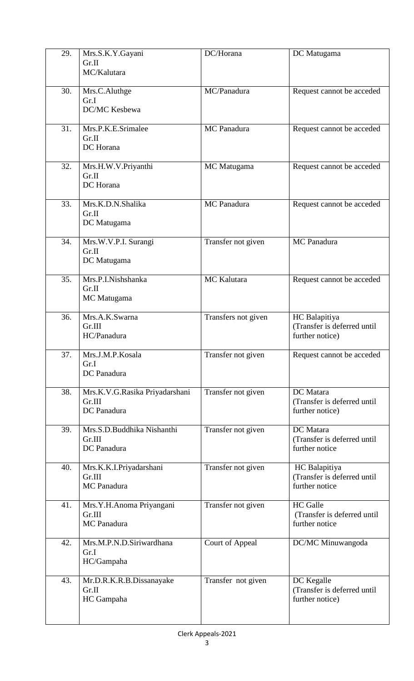| 29. | Mrs.S.K.Y.Gayani                         | DC/Horana              | DC Matugama                                    |
|-----|------------------------------------------|------------------------|------------------------------------------------|
|     | Gr.II                                    |                        |                                                |
|     | MC/Kalutara                              |                        |                                                |
|     |                                          |                        |                                                |
| 30. | Mrs.C.Aluthge                            | MC/Panadura            | Request cannot be acceded                      |
|     | Gr.I                                     |                        |                                                |
|     | DC/MC Kesbewa                            |                        |                                                |
| 31. | Mrs.P.K.E.Srimalee                       | MC Panadura            | Request cannot be acceded                      |
|     | Gr.II                                    |                        |                                                |
|     | DC Horana                                |                        |                                                |
|     |                                          |                        |                                                |
| 32. | Mrs.H.W.V.Priyanthi                      | MC Matugama            | Request cannot be acceded                      |
|     | Gr.II                                    |                        |                                                |
|     | DC Horana                                |                        |                                                |
| 33. | Mrs.K.D.N.Shalika                        | MC Panadura            | Request cannot be acceded                      |
|     | Gr.II                                    |                        |                                                |
|     | DC Matugama                              |                        |                                                |
|     |                                          |                        |                                                |
| 34. | Mrs.W.V.P.I. Surangi                     | Transfer not given     | MC Panadura                                    |
|     | Gr.II                                    |                        |                                                |
|     | DC Matugama                              |                        |                                                |
| 35. | Mrs.P.I.Nishshanka                       | MC Kalutara            | Request cannot be acceded                      |
|     | Gr.II                                    |                        |                                                |
|     | MC Matugama                              |                        |                                                |
|     |                                          |                        |                                                |
| 36. | Mrs.A.K.Swarna                           | Transfers not given    | HC Balapitiya                                  |
|     | Gr.III<br>HC/Panadura                    |                        | (Transfer is deferred until<br>further notice) |
|     |                                          |                        |                                                |
| 37. | Mrs.J.M.P.Kosala                         | Transfer not given     | Request cannot be acceded                      |
|     | Gr.I                                     |                        |                                                |
|     | DC Panadura                              |                        |                                                |
|     |                                          |                        |                                                |
| 38. | Mrs.K.V.G.Rasika Priyadarshani<br>Gr.III | Transfer not given     | DC Matara<br>(Transfer is deferred until       |
|     | DC Panadura                              |                        | further notice)                                |
|     |                                          |                        |                                                |
| 39. | Mrs.S.D.Buddhika Nishanthi               | Transfer not given     | DC Matara                                      |
|     | Gr.III                                   |                        | (Transfer is deferred until                    |
|     | DC Panadura                              |                        | further notice                                 |
|     |                                          |                        |                                                |
| 40. | Mrs.K.K.I.Priyadarshani<br>Gr.III        | Transfer not given     | HC Balapitiya<br>(Transfer is deferred until   |
|     | MC Panadura                              |                        | further notice                                 |
|     |                                          |                        |                                                |
| 41. | Mrs.Y.H.Anoma Priyangani                 | Transfer not given     | <b>HC</b> Galle                                |
|     | Gr.III                                   |                        | (Transfer is deferred until                    |
|     | MC Panadura                              |                        | further notice                                 |
|     | Mrs.M.P.N.D.Siriwardhana                 |                        |                                                |
| 42. | Gr.I                                     | <b>Court of Appeal</b> | DC/MC Minuwangoda                              |
|     | HC/Gampaha                               |                        |                                                |
|     |                                          |                        |                                                |
| 43. | Mr.D.R.K.R.B.Dissanayake                 | Transfer not given     | DC Kegalle                                     |
|     | Gr.II                                    |                        | (Transfer is deferred until                    |
|     | HC Gampaha                               |                        | further notice)                                |
|     |                                          |                        |                                                |
|     |                                          |                        |                                                |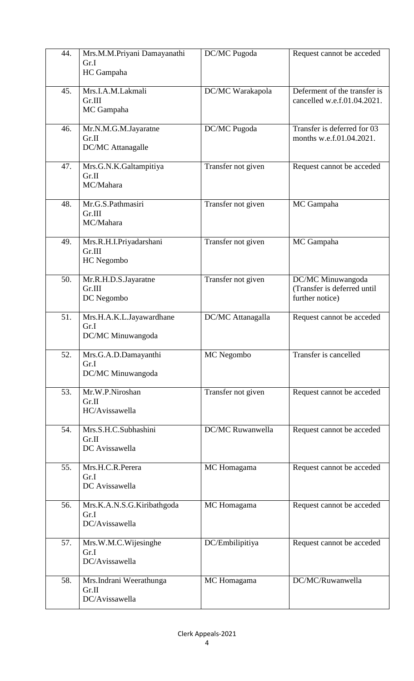| 44. | Mrs.M.M.Priyani Damayanathi<br>Gr.I<br>HC Gampaha     | DC/MC Pugoda       | Request cannot be acceded                                           |
|-----|-------------------------------------------------------|--------------------|---------------------------------------------------------------------|
| 45. | Mrs.I.A.M.Lakmali<br>Gr.III<br>MC Gampaha             | DC/MC Warakapola   | Deferment of the transfer is<br>cancelled w.e.f.01.04.2021.         |
| 46. | Mr.N.M.G.M.Jayaratne<br>Gr.II<br>DC/MC Attanagalle    | DC/MC Pugoda       | Transfer is deferred for 03<br>months w.e.f.01.04.2021.             |
| 47. | Mrs.G.N.K.Galtampitiya<br>Gr.II<br>MC/Mahara          | Transfer not given | Request cannot be acceded                                           |
| 48. | Mr.G.S.Pathmasiri<br>Gr.III<br>MC/Mahara              | Transfer not given | MC Gampaha                                                          |
| 49. | Mrs.R.H.I.Priyadarshani<br>Gr.III<br>HC Negombo       | Transfer not given | MC Gampaha                                                          |
| 50. | Mr.R.H.D.S.Jayaratne<br>Gr.III<br>DC Negombo          | Transfer not given | DC/MC Minuwangoda<br>(Transfer is deferred until<br>further notice) |
| 51. | Mrs.H.A.K.L.Jayawardhane<br>Gr.I<br>DC/MC Minuwangoda | DC/MC Attanagalla  | Request cannot be acceded                                           |
| 52. | Mrs.G.A.D.Damayanthi<br>Gr.I<br>DC/MC Minuwangoda     | MC Negombo         | Transfer is cancelled                                               |
| 53. | Mr.W.P.Niroshan<br>Gr.II<br>HC/Avissawella            | Transfer not given | Request cannot be acceded                                           |
| 54. | Mrs.S.H.C.Subhashini<br>Gr.II<br>DC Avissawella       | DC/MC Ruwanwella   | Request cannot be acceded                                           |
| 55. | Mrs.H.C.R.Perera<br>Gr.I<br>DC Avissawella            | MC Homagama        | Request cannot be acceded                                           |
| 56. | Mrs.K.A.N.S.G.Kiribathgoda<br>Gr.I<br>DC/Avissawella  | MC Homagama        | Request cannot be acceded                                           |
| 57. | Mrs.W.M.C.Wijesinghe<br>Gr.I<br>DC/Avissawella        | DC/Embilipitiya    | Request cannot be acceded                                           |
| 58. | Mrs.Indrani Weerathunga<br>Gr.II<br>DC/Avissawella    | MC Homagama        | DC/MC/Ruwanwella                                                    |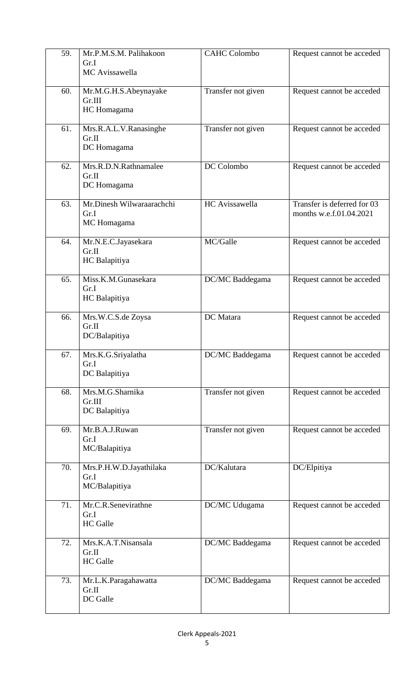| 59. | Mr.P.M.S.M. Palihakoon<br>Gr.I<br>MC Avissawella | <b>CAHC Colombo</b>   | Request cannot be acceded                              |
|-----|--------------------------------------------------|-----------------------|--------------------------------------------------------|
| 60. | Mr.M.G.H.S.Abeynayake<br>Gr.III<br>HC Homagama   | Transfer not given    | Request cannot be acceded                              |
| 61. | Mrs.R.A.L.V.Ranasinghe<br>Gr.II<br>DC Homagama   | Transfer not given    | Request cannot be acceded                              |
| 62. | Mrs.R.D.N.Rathnamalee<br>Gr.II<br>DC Homagama    | DC Colombo            | Request cannot be acceded                              |
| 63. | Mr.Dinesh Wilwaraarachchi<br>Gr.I<br>MC Homagama | <b>HC</b> Avissawella | Transfer is deferred for 03<br>months w.e.f.01.04.2021 |
| 64. | Mr.N.E.C.Jayasekara<br>Gr.II<br>HC Balapitiya    | MC/Galle              | Request cannot be acceded                              |
| 65. | Miss.K.M.Gunasekara<br>Gr.I<br>HC Balapitiya     | DC/MC Baddegama       | Request cannot be acceded                              |
| 66. | Mrs.W.C.S.de Zoysa<br>Gr.II<br>DC/Balapitiya     | DC Matara             | Request cannot be acceded                              |
| 67. | Mrs.K.G.Sriyalatha<br>Gr.I<br>DC Balapitiya      | DC/MC Baddegama       | Request cannot be acceded                              |
| 68. | Mrs.M.G.Sharnika<br>Gr.III<br>DC Balapitiya      | Transfer not given    | Request cannot be acceded                              |
| 69. | Mr.B.A.J.Ruwan<br>Gr.I<br>MC/Balapitiya          | Transfer not given    | Request cannot be acceded                              |
| 70. | Mrs.P.H.W.D.Jayathilaka<br>Gr.I<br>MC/Balapitiya | DC/Kalutara           | DC/Elpitiya                                            |
| 71. | Mr.C.R.Senevirathne<br>Gr.I<br><b>HC</b> Galle   | DC/MC Udugama         | Request cannot be acceded                              |
| 72. | Mrs.K.A.T.Nisansala<br>Gr.II<br><b>HC</b> Galle  | DC/MC Baddegama       | Request cannot be acceded                              |
| 73. | Mr.L.K.Paragahawatta<br>Gr.II<br>DC Galle        | DC/MC Baddegama       | Request cannot be acceded                              |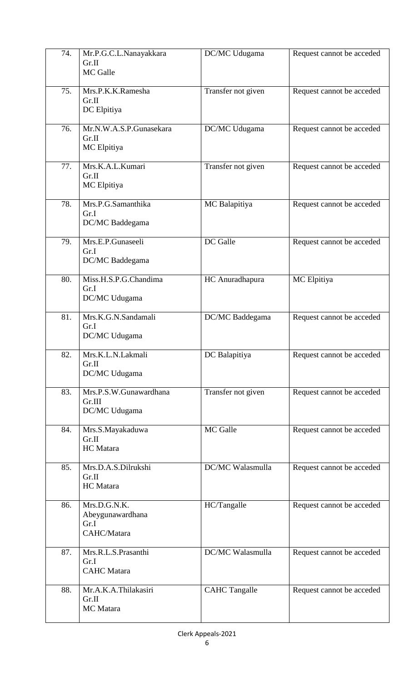| 74. | Mr.P.G.C.L.Nanayakkara<br>Gr.II<br>MC Galle             | DC/MC Udugama        | Request cannot be acceded |
|-----|---------------------------------------------------------|----------------------|---------------------------|
| 75. | Mrs.P.K.K.Ramesha<br>Gr.II<br>DC Elpitiya               | Transfer not given   | Request cannot be acceded |
| 76. | Mr.N.W.A.S.P.Gunasekara<br>Gr.II<br>MC Elpitiya         | DC/MC Udugama        | Request cannot be acceded |
| 77. | Mrs.K.A.L.Kumari<br>Gr.II<br>MC Elpitiya                | Transfer not given   | Request cannot be acceded |
| 78. | Mrs.P.G.Samanthika<br>Gr.I<br>DC/MC Baddegama           | MC Balapitiya        | Request cannot be acceded |
| 79. | Mrs.E.P.Gunaseeli<br>Gr.I<br>DC/MC Baddegama            | DC Galle             | Request cannot be acceded |
| 80. | Miss.H.S.P.G.Chandima<br>Gr.I<br>DC/MC Udugama          | HC Anuradhapura      | MC Elpitiya               |
| 81. | Mrs.K.G.N.Sandamali<br>Gr.I<br>DC/MC Udugama            | DC/MC Baddegama      | Request cannot be acceded |
| 82. | Mrs.K.L.N.Lakmali<br>Gr.II<br>DC/MC Udugama             | DC Balapitiya        | Request cannot be acceded |
| 83. | Mrs.P.S.W.Gunawardhana<br>Gr.III<br>DC/MC Udugama       | Transfer not given   | Request cannot be acceded |
| 84. | Mrs.S.Mayakaduwa<br>Gr.II<br><b>HC</b> Matara           | MC Galle             | Request cannot be acceded |
| 85. | Mrs.D.A.S.Dilrukshi<br>Gr.II<br><b>HC</b> Matara        | DC/MC Walasmulla     | Request cannot be acceded |
| 86. | Mrs.D.G.N.K.<br>Abeygunawardhana<br>Gr.I<br>CAHC/Matara | HC/Tangalle          | Request cannot be acceded |
| 87. | Mrs.R.L.S.Prasanthi<br>Gr.I<br><b>CAHC</b> Matara       | DC/MC Walasmulla     | Request cannot be acceded |
| 88. | Mr.A.K.A.Thilakasiri<br>Gr.II<br>MC Matara              | <b>CAHC</b> Tangalle | Request cannot be acceded |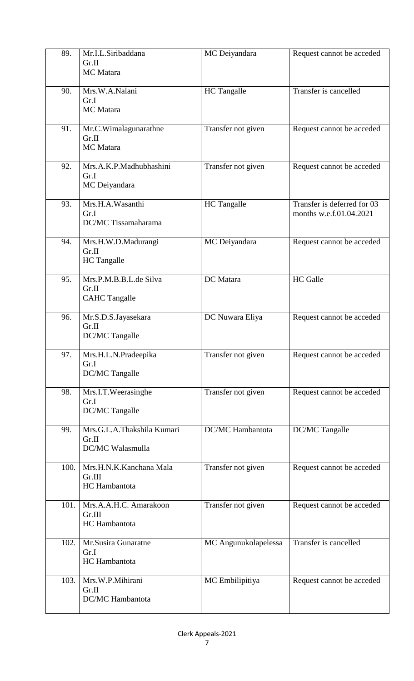| 89.  | Mr.I.L.Siribaddana<br>Gr.II<br>MC Matara                | MC Deiyandara        | Request cannot be acceded                              |
|------|---------------------------------------------------------|----------------------|--------------------------------------------------------|
| 90.  | Mrs.W.A.Nalani<br>Gr.I<br>MC Matara                     | HC Tangalle          | Transfer is cancelled                                  |
| 91.  | Mr.C.Wimalagunarathne<br>Gr.II<br>MC Matara             | Transfer not given   | Request cannot be acceded                              |
| 92.  | Mrs.A.K.P.Madhubhashini<br>Gr.I<br>MC Deiyandara        | Transfer not given   | Request cannot be acceded                              |
| 93.  | Mrs.H.A.Wasanthi<br>Gr.I<br>DC/MC Tissamaharama         | <b>HC</b> Tangalle   | Transfer is deferred for 03<br>months w.e.f.01.04.2021 |
| 94.  | Mrs.H.W.D.Madurangi<br>Gr.II<br>HC Tangalle             | MC Deiyandara        | Request cannot be acceded                              |
| 95.  | Mrs.P.M.B.B.L.de Silva<br>Gr.II<br><b>CAHC Tangalle</b> | DC Matara            | <b>HC</b> Galle                                        |
| 96.  | Mr.S.D.S.Jayasekara<br>Gr.II<br>DC/MC Tangalle          | DC Nuwara Eliya      | Request cannot be acceded                              |
| 97.  | Mrs.H.L.N.Pradeepika<br>Gr.I<br>DC/MC Tangalle          | Transfer not given   | Request cannot be acceded                              |
| 98.  | Mrs.I.T.Weerasinghe<br>Gr.I<br>DC/MC Tangalle           | Transfer not given   | Request cannot be acceded                              |
| 99.  | Mrs.G.L.A.Thakshila Kumari<br>Gr.II<br>DC/MC Walasmulla | DC/MC Hambantota     | DC/MC Tangalle                                         |
| 100. | Mrs.H.N.K.Kanchana Mala<br>Gr.III<br>HC Hambantota      | Transfer not given   | Request cannot be acceded                              |
| 101. | Mrs.A.A.H.C. Amarakoon<br>Gr.III<br>HC Hambantota       | Transfer not given   | Request cannot be acceded                              |
| 102. | Mr.Susira Gunaratne<br>Gr.I<br>HC Hambantota            | MC Angunukolapelessa | Transfer is cancelled                                  |
| 103. | Mrs.W.P.Mihirani<br>Gr.II<br>DC/MC Hambantota           | MC Embilipitiya      | Request cannot be acceded                              |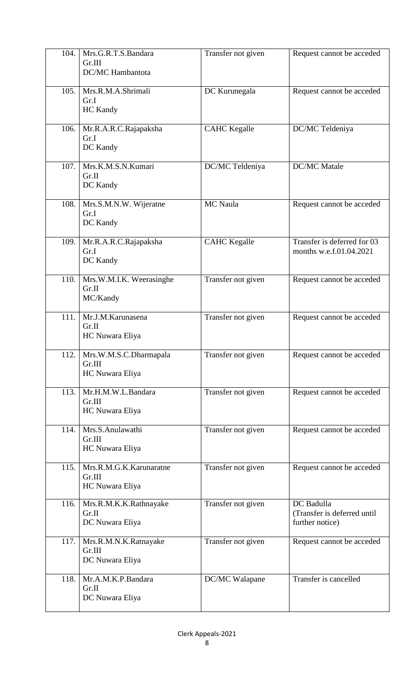| 104. | Mrs.G.R.T.S.Bandara<br>Gr.III<br>DC/MC Hambantota    | Transfer not given  | Request cannot be acceded                                    |
|------|------------------------------------------------------|---------------------|--------------------------------------------------------------|
| 105. | Mrs.R.M.A.Shrimali<br>Gr.I<br><b>HC</b> Kandy        | DC Kurunegala       | Request cannot be acceded                                    |
| 106. | Mr.R.A.R.C.Rajapaksha<br>Gr.I<br>DC Kandy            | <b>CAHC</b> Kegalle | DC/MC Teldeniya                                              |
| 107. | Mrs.K.M.S.N.Kumari<br>Gr.II<br>DC Kandy              | DC/MC Teldeniya     | <b>DC/MC</b> Matale                                          |
| 108. | Mrs.S.M.N.W. Wijeratne<br>Gr.I<br>DC Kandy           | MC Naula            | Request cannot be acceded                                    |
| 109. | Mr.R.A.R.C.Rajapaksha<br>Gr.I<br>DC Kandy            | <b>CAHC</b> Kegalle | Transfer is deferred for 03<br>months w.e.f.01.04.2021       |
| 110. | Mrs.W.M.I.K. Weerasinghe<br>Gr.II<br>MC/Kandy        | Transfer not given  | Request cannot be acceded                                    |
| 111. | Mr.J.M.Karunasena<br>Gr.II<br>HC Nuwara Eliya        | Transfer not given  | Request cannot be acceded                                    |
| 112. | Mrs.W.M.S.C.Dharmapala<br>Gr.III<br>HC Nuwara Eliya  | Transfer not given  | Request cannot be acceded                                    |
| 113. | Mr.H.M.W.L.Bandara<br>Gr.III<br>HC Nuwara Eliya      | Transfer not given  | Request cannot be acceded                                    |
| 114. | Mrs.S.Anulawathi<br>Gr.III<br>HC Nuwara Eliya        | Transfer not given  | Request cannot be acceded                                    |
| 115. | Mrs.R.M.G.K.Karunaratne<br>Gr.III<br>HC Nuwara Eliya | Transfer not given  | Request cannot be acceded                                    |
| 116. | Mrs.R.M.K.K.Rathnayake<br>Gr.II<br>DC Nuwara Eliya   | Transfer not given  | DC Badulla<br>(Transfer is deferred until<br>further notice) |
| 117. | Mrs.R.M.N.K.Ratnayake<br>Gr.III<br>DC Nuwara Eliya   | Transfer not given  | Request cannot be acceded                                    |
| 118. | Mr.A.M.K.P.Bandara<br>Gr.II<br>DC Nuwara Eliya       | DC/MC Walapane      | Transfer is cancelled                                        |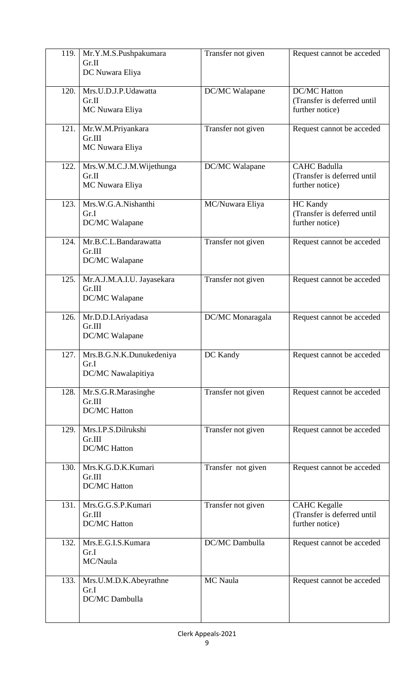| 119. | Mr.Y.M.S.Pushpakumara<br>Gr.II<br>DC Nuwara Eliya      | Transfer not given | Request cannot be acceded                                             |
|------|--------------------------------------------------------|--------------------|-----------------------------------------------------------------------|
| 120. | Mrs.U.D.J.P.Udawatta<br>Gr.II<br>MC Nuwara Eliya       | DC/MC Walapane     | <b>DC/MC Hatton</b><br>(Transfer is deferred until<br>further notice) |
| 121. | Mr.W.M.Priyankara<br>Gr.III<br>MC Nuwara Eliya         | Transfer not given | Request cannot be acceded                                             |
| 122. | Mrs.W.M.C.J.M.Wijethunga<br>Gr.II<br>MC Nuwara Eliya   | DC/MC Walapane     | <b>CAHC Badulla</b><br>(Transfer is deferred until<br>further notice) |
| 123. | Mrs.W.G.A.Nishanthi<br>Gr.I<br>DC/MC Walapane          | MC/Nuwara Eliya    | <b>HC</b> Kandy<br>(Transfer is deferred until<br>further notice)     |
| 124. | Mr.B.C.L.Bandarawatta<br>Gr.III<br>DC/MC Walapane      | Transfer not given | Request cannot be acceded                                             |
| 125. | Mr.A.J.M.A.I.U. Jayasekara<br>Gr.III<br>DC/MC Walapane | Transfer not given | Request cannot be acceded                                             |
| 126. | Mr.D.D.I.Ariyadasa<br>Gr.III<br>DC/MC Walapane         | DC/MC Monaragala   | Request cannot be acceded                                             |
| 127. | Mrs.B.G.N.K.Dunukedeniya<br>Gr.I<br>DC/MC Nawalapitiya | DC Kandy           | Request cannot be acceded                                             |
| 128. | Mr.S.G.R.Marasinghe<br>Gr.III<br><b>DC/MC</b> Hatton   | Transfer not given | Request cannot be acceded                                             |
| 129. | Mrs.I.P.S.Dilrukshi<br>Gr.III<br><b>DC/MC Hatton</b>   | Transfer not given | Request cannot be acceded                                             |
| 130. | Mrs.K.G.D.K.Kumari<br>Gr.III<br><b>DC/MC Hatton</b>    | Transfer not given | Request cannot be acceded                                             |
| 131. | Mrs.G.G.S.P.Kumari<br>Gr.III<br><b>DC/MC</b> Hatton    | Transfer not given | <b>CAHC</b> Kegalle<br>(Transfer is deferred until<br>further notice) |
| 132. | Mrs.E.G.I.S.Kumara<br>Gr.I<br>MC/Naula                 | DC/MC Dambulla     | Request cannot be acceded                                             |
| 133. | Mrs.U.M.D.K.Abeyrathne<br>Gr.I<br>DC/MC Dambulla       | MC Naula           | Request cannot be acceded                                             |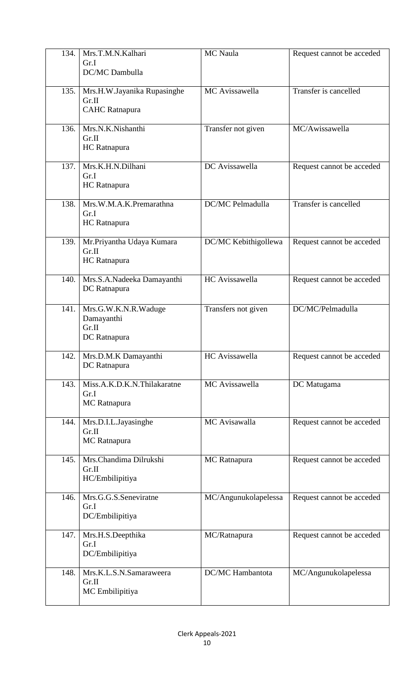| 134. | Mrs.T.M.N.Kalhari<br>Gr.I<br>DC/MC Dambulla                   | MC Naula                | Request cannot be acceded |
|------|---------------------------------------------------------------|-------------------------|---------------------------|
| 135. | Mrs.H.W.Jayanika Rupasinghe<br>Gr.II<br><b>CAHC</b> Ratnapura | MC Avissawella          | Transfer is cancelled     |
| 136. | Mrs.N.K.Nishanthi<br>Gr.II<br>HC Ratnapura                    | Transfer not given      | MC/Awissawella            |
| 137. | Mrs.K.H.N.Dilhani<br>Gr.I<br>HC Ratnapura                     | DC Avissawella          | Request cannot be acceded |
| 138. | Mrs.W.M.A.K.Premarathna<br>Gr.I<br>HC Ratnapura               | DC/MC Pelmadulla        | Transfer is cancelled     |
| 139. | Mr.Priyantha Udaya Kumara<br>Gr.II<br>HC Ratnapura            | DC/MC Kebithigollewa    | Request cannot be acceded |
| 140. | Mrs.S.A.Nadeeka Damayanthi<br>DC Ratnapura                    | HC Avissawella          | Request cannot be acceded |
| 141. | Mrs.G.W.K.N.R.Waduge<br>Damayanthi<br>Gr.II<br>DC Ratnapura   | Transfers not given     | DC/MC/Pelmadulla          |
| 142. | Mrs.D.M.K Damayanthi<br>DC Ratnapura                          | HC Avissawella          | Request cannot be acceded |
| 143. | Miss.A.K.D.K.N.Thilakaratne<br>Gr.I<br>MC Ratnapura           | MC Avissawella          | DC Matugama               |
| 144. | Mrs.D.I.L.Jayasinghe<br>Gr.II<br>MC Ratnapura                 | MC Avisawalla           | Request cannot be acceded |
| 145. | Mrs.Chandima Dilrukshi<br>Gr.II<br>HC/Embilipitiya            | MC Ratnapura            | Request cannot be acceded |
| 146. | Mrs.G.G.S.Seneviratne<br>Gr.I<br>DC/Embilipitiya              | MC/Angunukolapelessa    | Request cannot be acceded |
| 147. | Mrs.H.S.Deepthika<br>Gr.I<br>DC/Embilipitiya                  | MC/Ratnapura            | Request cannot be acceded |
| 148. | Mrs.K.L.S.N.Samaraweera<br>Gr.II<br>MC Embilipitiya           | <b>DC/MC</b> Hambantota | MC/Angunukolapelessa      |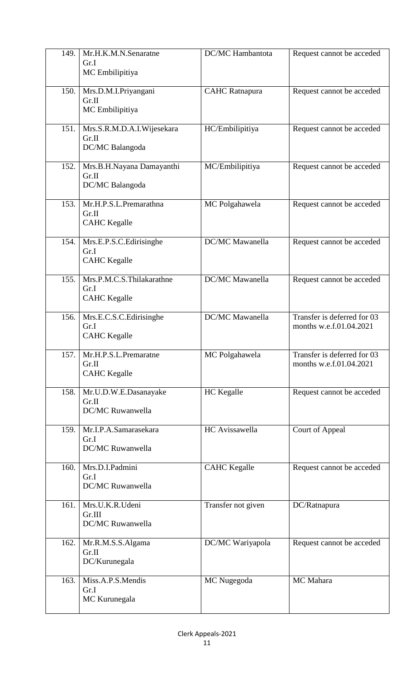| 149. | Mr.H.K.M.N.Senaratne<br>Gr.I<br>MC Embilipitiya          | DC/MC Hambantota       | Request cannot be acceded                              |
|------|----------------------------------------------------------|------------------------|--------------------------------------------------------|
| 150. | Mrs.D.M.I.Priyangani<br>Gr.II<br>MC Embilipitiya         | <b>CAHC</b> Ratnapura  | Request cannot be acceded                              |
| 151. | Mrs.S.R.M.D.A.I.Wijesekara<br>Gr.II<br>DC/MC Balangoda   | HC/Embilipitiya        | Request cannot be acceded                              |
| 152. | Mrs.B.H.Nayana Damayanthi<br>Gr.II<br>DC/MC Balangoda    | MC/Embilipitiya        | Request cannot be acceded                              |
| 153. | Mr.H.P.S.L.Premarathna<br>Gr.II<br><b>CAHC</b> Kegalle   | MC Polgahawela         | Request cannot be acceded                              |
| 154. | Mrs.E.P.S.C.Edirisinghe<br>Gr.I<br><b>CAHC</b> Kegalle   | <b>DC/MC</b> Mawanella | Request cannot be acceded                              |
| 155. | Mrs.P.M.C.S.Thilakarathne<br>Gr.I<br><b>CAHC</b> Kegalle | DC/MC Mawanella        | Request cannot be acceded                              |
| 156. | Mrs.E.C.S.C.Edirisinghe<br>Gr.I<br><b>CAHC</b> Kegalle   | DC/MC Mawanella        | Transfer is deferred for 03<br>months w.e.f.01.04.2021 |
| 157. | Mr.H.P.S.L.Premaratne<br>Gr.II<br><b>CAHC</b> Kegalle    | MC Polgahawela         | Transfer is deferred for 03<br>months w.e.f.01.04.2021 |
| 158. | Mr.U.D.W.E.Dasanayake<br>Gr.II<br>DC/MC Ruwanwella       | <b>HC</b> Kegalle      | Request cannot be acceded                              |
| 159. | Mr.I.P.A.Samarasekara<br>Gr.I<br>DC/MC Ruwanwella        | HC Avissawella         | Court of Appeal                                        |
| 160. | Mrs.D.I.Padmini<br>Gr.I<br>DC/MC Ruwanwella              | <b>CAHC</b> Kegalle    | Request cannot be acceded                              |
| 161. | Mrs.U.K.R.Udeni<br>Gr.III<br>DC/MC Ruwanwella            | Transfer not given     | DC/Ratnapura                                           |
| 162. | Mr.R.M.S.S.Algama<br>Gr.II<br>DC/Kurunegala              | DC/MC Wariyapola       | Request cannot be acceded                              |
| 163. | Miss.A.P.S.Mendis<br>Gr.I<br>MC Kurunegala               | MC Nugegoda            | MC Mahara                                              |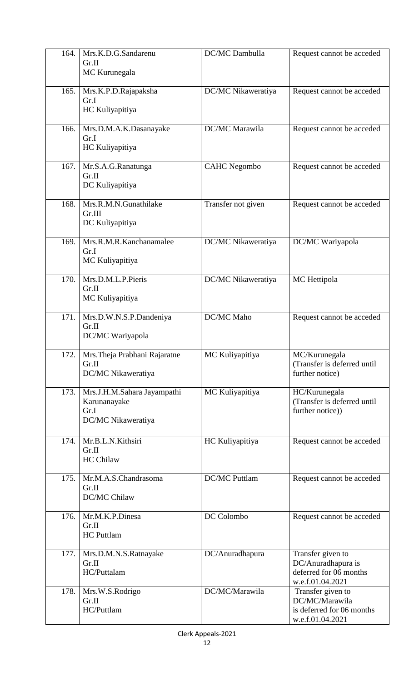| 164. | Mrs.K.D.G.Sandarenu<br>Gr.II<br>MC Kurunegala                             | DC/MC Dambulla       | Request cannot be acceded                                                             |
|------|---------------------------------------------------------------------------|----------------------|---------------------------------------------------------------------------------------|
| 165. | Mrs.K.P.D.Rajapaksha<br>Gr.I<br>HC Kuliyapitiya                           | DC/MC Nikaweratiya   | Request cannot be acceded                                                             |
| 166. | Mrs.D.M.A.K.Dasanayake<br>Gr.I<br>HC Kuliyapitiya                         | DC/MC Marawila       | Request cannot be acceded                                                             |
| 167. | Mr.S.A.G.Ranatunga<br>Gr.II<br>DC Kuliyapitiya                            | <b>CAHC</b> Negombo  | Request cannot be acceded                                                             |
| 168. | Mrs.R.M.N.Gunathilake<br>Gr.III<br>DC Kuliyapitiya                        | Transfer not given   | Request cannot be acceded                                                             |
| 169. | Mrs.R.M.R.Kanchanamalee<br>Gr.I<br>MC Kuliyapitiya                        | DC/MC Nikaweratiya   | DC/MC Wariyapola                                                                      |
| 170. | Mrs.D.M.L.P.Pieris<br>Gr.II<br>MC Kuliyapitiya                            | DC/MC Nikaweratiya   | MC Hettipola                                                                          |
| 171. | Mrs.D.W.N.S.P.Dandeniya<br>Gr.II<br>DC/MC Wariyapola                      | <b>DC/MC</b> Maho    | Request cannot be acceded                                                             |
| 172. | Mrs. Theja Prabhani Rajaratne<br>Gr.II<br>DC/MC Nikaweratiya              | MC Kuliyapitiya      | MC/Kurunegala<br>(Transfer is deferred until<br>further notice)                       |
| 173. | Mrs.J.H.M.Sahara Jayampathi<br>Karunanayake<br>Gr.I<br>DC/MC Nikaweratiya | MC Kuliyapitiya      | HC/Kurunegala<br>(Transfer is deferred until<br>further notice))                      |
| 174. | Mr.B.L.N.Kithsiri<br>Gr.II<br><b>HC Chilaw</b>                            | HC Kuliyapitiya      | Request cannot be acceded                                                             |
| 175. | Mr.M.A.S.Chandrasoma<br>Gr.II<br>DC/MC Chilaw                             | <b>DC/MC Puttlam</b> | Request cannot be acceded                                                             |
| 176. | Mr.M.K.P.Dinesa<br>Gr.II<br><b>HC</b> Puttlam                             | DC Colombo           | Request cannot be acceded                                                             |
| 177. | Mrs.D.M.N.S.Ratnayake<br>Gr.II<br>HC/Puttalam                             | DC/Anuradhapura      | Transfer given to<br>DC/Anuradhapura is<br>deferred for 06 months<br>w.e.f.01.04.2021 |
| 178. | Mrs.W.S.Rodrigo<br>Gr.II<br>HC/Puttlam                                    | DC/MC/Marawila       | Transfer given to<br>DC/MC/Marawila<br>is deferred for 06 months<br>w.e.f.01.04.2021  |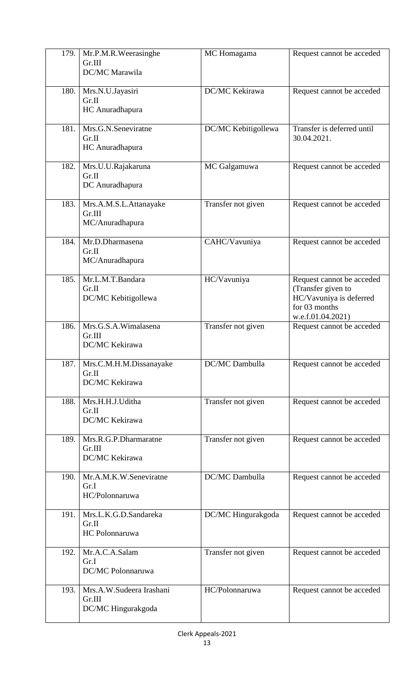| 179. | Mr.P.M.R.Weerasinghe<br>Gr.III<br>DC/MC Marawila         | MC Homagama         | Request cannot be acceded                                                                                        |
|------|----------------------------------------------------------|---------------------|------------------------------------------------------------------------------------------------------------------|
| 180. | Mrs.N.U.Jayasiri<br>Gr.II<br>HC Anuradhapura             | DC/MC Kekirawa      | Request cannot be acceded                                                                                        |
| 181. | Mrs.G.N.Seneviratne<br>Gr.II<br>HC Anuradhapura          | DC/MC Kebitigollewa | Transfer is deferred until<br>30.04.2021.                                                                        |
| 182. | Mrs.U.U.Rajakaruna<br>Gr.II<br>DC Anuradhapura           | MC Galgamuwa        | Request cannot be acceded                                                                                        |
| 183. | Mrs.A.M.S.L.Attanayake<br>Gr.III<br>MC/Anuradhapura      | Transfer not given  | Request cannot be acceded                                                                                        |
| 184. | Mr.D.Dharmasena<br>Gr.II<br>MC/Anuradhapura              | CAHC/Vavuniya       | Request cannot be acceded                                                                                        |
| 185. | Mr.L.M.T.Bandara<br>Gr.II<br>DC/MC Kebitigollewa         | HC/Vavuniya         | Request cannot be acceded<br>(Transfer given to<br>HC/Vavuniya is deferred<br>for 03 months<br>w.e.f.01.04.2021) |
| 186. | Mrs.G.S.A.Wimalasena<br>Gr.III<br>DC/MC Kekirawa         | Transfer not given  | Request cannot be acceded                                                                                        |
| 187. | Mrs.C.M.H.M.Dissanayake<br>Gr.II<br>DC/MC Kekirawa       | DC/MC Dambulla      | Request cannot be acceded                                                                                        |
| 188. | Mrs.H.H.J.Uditha<br>Gr.II<br>DC/MC Kekirawa              | Transfer not given  | Request cannot be acceded                                                                                        |
| 189. | Mrs.R.G.P.Dharmaratne<br>Gr.III<br>DC/MC Kekirawa        | Transfer not given  | Request cannot be acceded                                                                                        |
| 190. | Mr.A.M.K.W.Seneviratne<br>Gr.I<br>HC/Polonnaruwa         | DC/MC Dambulla      | Request cannot be acceded                                                                                        |
| 191. | Mrs.L.K.G.D.Sandareka<br>Gr.II<br>HC Polonnaruwa         | DC/MC Hingurakgoda  | Request cannot be acceded                                                                                        |
| 192. | Mr.A.C.A.Salam<br>Gr.I<br>DC/MC Polonnaruwa              | Transfer not given  | Request cannot be acceded                                                                                        |
| 193. | Mrs.A.W.Sudeera Irashani<br>Gr.III<br>DC/MC Hingurakgoda | HC/Polonnaruwa      | Request cannot be acceded                                                                                        |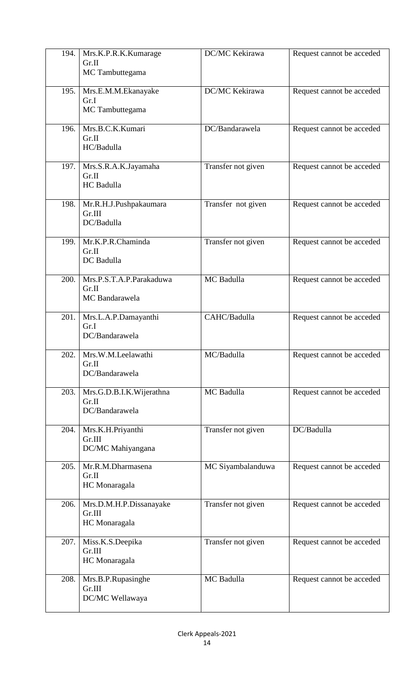| 194. | Mrs.K.P.R.K.Kumarage<br>Gr.II<br>MC Tambuttegama    | DC/MC Kekirawa     | Request cannot be acceded |
|------|-----------------------------------------------------|--------------------|---------------------------|
| 195. | Mrs.E.M.M.Ekanayake<br>Gr.I<br>MC Tambuttegama      | DC/MC Kekirawa     | Request cannot be acceded |
| 196. | Mrs.B.C.K.Kumari<br>Gr.II<br>HC/Badulla             | DC/Bandarawela     | Request cannot be acceded |
| 197. | Mrs.S.R.A.K.Jayamaha<br>Gr.II<br>HC Badulla         | Transfer not given | Request cannot be acceded |
| 198. | Mr.R.H.J.Pushpakaumara<br>Gr.III<br>DC/Badulla      | Transfer not given | Request cannot be acceded |
| 199. | Mr.K.P.R.Chaminda<br>Gr.II<br>DC Badulla            | Transfer not given | Request cannot be acceded |
| 200. | Mrs.P.S.T.A.P.Parakaduwa<br>Gr.II<br>MC Bandarawela | MC Badulla         | Request cannot be acceded |
| 201. | Mrs.L.A.P.Damayanthi<br>Gr.I<br>DC/Bandarawela      | CAHC/Badulla       | Request cannot be acceded |
| 202. | Mrs.W.M.Leelawathi<br>Gr.II<br>DC/Bandarawela       | MC/Badulla         | Request cannot be acceded |
| 203. | Mrs.G.D.B.I.K.Wijerathna<br>Gr.II<br>DC/Bandarawela | MC Badulla         | Request cannot be acceded |
| 204. | Mrs.K.H.Priyanthi<br>Gr.III<br>DC/MC Mahiyangana    | Transfer not given | DC/Badulla                |
| 205. | Mr.R.M.Dharmasena<br>Gr.II<br>HC Monaragala         | MC Siyambalanduwa  | Request cannot be acceded |
| 206. | Mrs.D.M.H.P.Dissanayake<br>Gr.III<br>HC Monaragala  | Transfer not given | Request cannot be acceded |
| 207. | Miss.K.S.Deepika<br>Gr.III<br>HC Monaragala         | Transfer not given | Request cannot be acceded |
| 208. | Mrs.B.P.Rupasinghe<br>Gr.III<br>DC/MC Wellawaya     | MC Badulla         | Request cannot be acceded |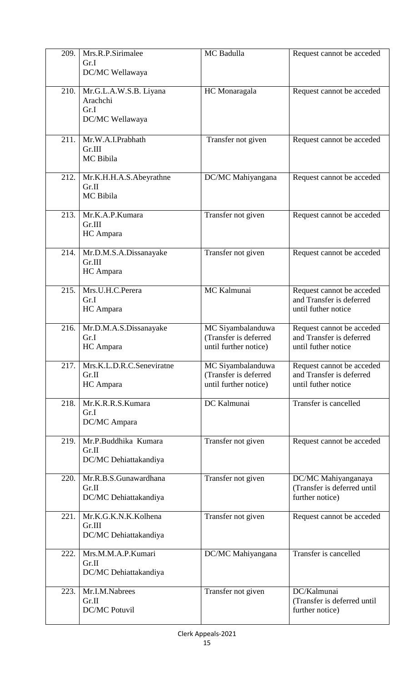| 209. | Mrs.R.P.Sirimalee<br>Gr.I<br>DC/MC Wellawaya                  | MC Badulla                                                          | Request cannot be acceded                                                    |
|------|---------------------------------------------------------------|---------------------------------------------------------------------|------------------------------------------------------------------------------|
| 210. | Mr.G.L.A.W.S.B. Liyana<br>Arachchi<br>Gr.I<br>DC/MC Wellawaya | HC Monaragala                                                       | Request cannot be acceded                                                    |
| 211. | Mr.W.A.I.Prabhath<br>Gr.III<br>MC Bibila                      | Transfer not given                                                  | Request cannot be acceded                                                    |
| 212. | Mr.K.H.H.A.S.Abeyrathne<br>Gr.II<br>MC Bibila                 | DC/MC Mahiyangana                                                   | Request cannot be acceded                                                    |
| 213. | Mr.K.A.P.Kumara<br>Gr.III<br>HC Ampara                        | Transfer not given                                                  | Request cannot be acceded                                                    |
| 214. | Mr.D.M.S.A.Dissanayake<br>Gr.III<br>HC Ampara                 | Transfer not given                                                  | Request cannot be acceded                                                    |
| 215. | Mrs.U.H.C.Perera<br>Gr.I<br>HC Ampara                         | MC Kalmunai                                                         | Request cannot be acceded<br>and Transfer is deferred<br>until futher notice |
| 216. | Mr.D.M.A.S.Dissanayake<br>Gr.I<br>HC Ampara                   | MC Siyambalanduwa<br>(Transfer is deferred<br>until further notice) | Request cannot be acceded<br>and Transfer is deferred<br>until futher notice |
| 217. | Mrs.K.L.D.R.C.Seneviratne<br>Gr.II<br>HC Ampara               | MC Siyambalanduwa<br>(Transfer is deferred<br>until further notice) | Request cannot be acceded<br>and Transfer is deferred<br>until futher notice |
| 218. | Mr.K.R.R.S.Kumara<br>Gr.I<br>DC/MC Ampara                     | <b>DC</b> Kalmunai                                                  | Transfer is cancelled                                                        |
| 219. | Mr.P.Buddhika Kumara<br>Gr.II<br>DC/MC Dehiattakandiya        | Transfer not given                                                  | Request cannot be acceded                                                    |
| 220. | Mr.R.B.S.Gunawardhana<br>Gr.II<br>DC/MC Dehiattakandiya       | Transfer not given                                                  | DC/MC Mahiyanganaya<br>(Transfer is deferred until<br>further notice)        |
| 221. | Mr.K.G.K.N.K.Kolhena<br>Gr.III<br>DC/MC Dehiattakandiya       | Transfer not given                                                  | Request cannot be acceded                                                    |
| 222. | Mrs.M.M.A.P.Kumari<br>Gr.II<br>DC/MC Dehiattakandiya          | DC/MC Mahiyangana                                                   | Transfer is cancelled                                                        |
| 223. | Mr.I.M.Nabrees<br>Gr.II<br><b>DC/MC Potuvil</b>               | Transfer not given                                                  | DC/Kalmunai<br>(Transfer is deferred until<br>further notice)                |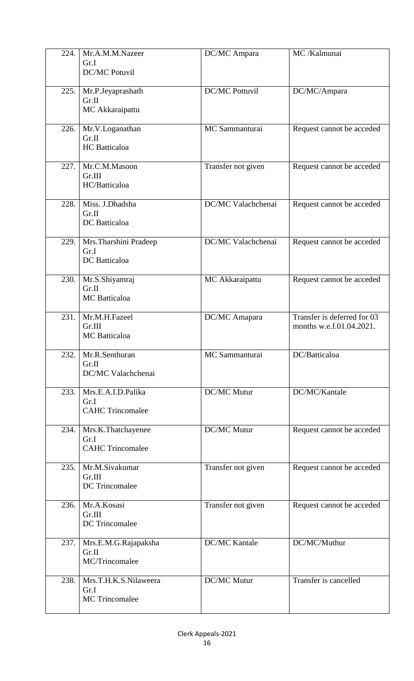| 224. | Mr.A.M.M.Nazeer<br>Gr.I<br><b>DC/MC Potuvil</b>        | DC/MC Ampara              | MC /Kalmunai                                            |
|------|--------------------------------------------------------|---------------------------|---------------------------------------------------------|
| 225. | Mr.P.Jeyaprashath<br>Gr.II<br>MC Akkaraipattu          | <b>DC/MC Pottuvil</b>     | DC/MC/Ampara                                            |
| 226. | Mr.V.Loganathan<br>Gr.II<br><b>HC</b> Batticaloa       | MC Sammanturai            | Request cannot be acceded                               |
| 227. | Mr.C.M.Masoon<br>Gr.III<br>HC/Batticaloa               | Transfer not given        | Request cannot be acceded                               |
| 228. | Miss. J.Dhadsha<br>Gr.II<br>DC Batticaloa              | <b>DC/MC</b> Valachchenai | Request cannot be acceded                               |
| 229. | Mrs. Tharshini Pradeep<br>Gr.I<br>DC Batticaloa        | DC/MC Valachchenai        | Request cannot be acceded                               |
| 230. | Mr.S.Shiyamraj<br>Gr.II<br><b>MC</b> Batticaloa        | MC Akkaraipattu           | Request cannot be acceded                               |
| 231. | Mr.M.H.Fazeel<br>Gr.III<br><b>MC</b> Batticaloa        | DC/MC Amapara             | Transfer is deferred for 03<br>months w.e.f.01.04.2021. |
| 232. | Mr.R.Senthuran<br>Gr.II<br>DC/MC Valachchenai          | MC Sammanturai            | DC/Batticaloa                                           |
| 233. | Mrs.E.A.I.D.Palika<br>Gr.I<br><b>CAHC Trincomalee</b>  | <b>DC/MC Mutur</b>        | DC/MC/Kantale                                           |
| 234. | Mrs.K.Thatchayenee<br>Gr.I<br><b>CAHC Trincomalee</b>  | <b>DC/MC Mutur</b>        | Request cannot be acceded                               |
| 235. | Mr.M.Sivakumar<br>Gr.III<br>DC Trincomalee             | Transfer not given        | Request cannot be acceded                               |
| 236. | Mr.A.Kosasi<br>Gr.III<br>DC Trincomalee                | Transfer not given        | Request cannot be acceded                               |
| 237. | Mrs.E.M.G.Rajapaksha<br>Gr.II<br>MC/Trincomalee        | <b>DC/MC Kantale</b>      | DC/MC/Muthur                                            |
| 238. | Mrs.T.H.K.S.Nilaweera<br>Gr.I<br><b>MC</b> Trincomalee | <b>DC/MC Mutur</b>        | Transfer is cancelled                                   |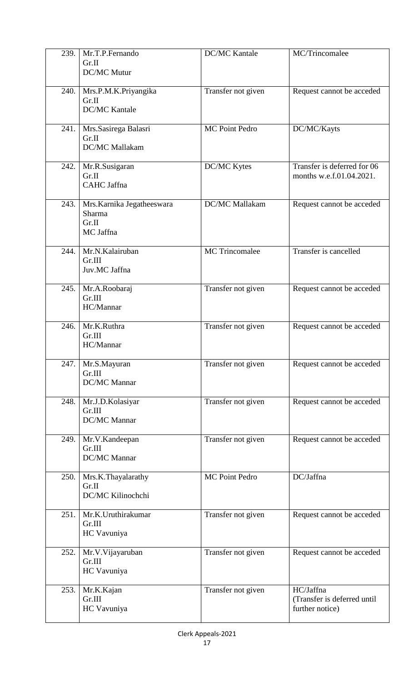| 239. | Mr.T.P.Fernando<br>Gr.II<br>DC/MC Mutur                    | <b>DC/MC</b> Kantale  | MC/Trincomalee                                              |
|------|------------------------------------------------------------|-----------------------|-------------------------------------------------------------|
| 240. | Mrs.P.M.K.Priyangika<br>Gr.II<br><b>DC/MC Kantale</b>      | Transfer not given    | Request cannot be acceded                                   |
| 241. | Mrs.Sasirega Balasri<br>Gr.II<br><b>DC/MC</b> Mallakam     | <b>MC Point Pedro</b> | DC/MC/Kayts                                                 |
| 242. | Mr.R.Susigaran<br>Gr.II<br>CAHC Jaffna                     | DC/MC Kytes           | Transfer is deferred for 06<br>months w.e.f.01.04.2021.     |
| 243. | Mrs. Karnika Jegatheeswara<br>Sharma<br>Gr.II<br>MC Jaffna | DC/MC Mallakam        | Request cannot be acceded                                   |
| 244. | Mr.N.Kalairuban<br>Gr.III<br>Juv.MC Jaffna                 | <b>MC</b> Trincomalee | Transfer is cancelled                                       |
| 245. | Mr.A.Roobaraj<br>Gr.III<br>HC/Mannar                       | Transfer not given    | Request cannot be acceded                                   |
| 246. | Mr.K.Ruthra<br>Gr.III<br>HC/Mannar                         | Transfer not given    | Request cannot be acceded                                   |
| 247. | Mr.S.Mayuran<br>Gr.III<br>DC/MC Mannar                     | Transfer not given    | Request cannot be acceded                                   |
| 248. | Mr.J.D.Kolasiyar<br>Gr.III<br>DC/MC Mannar                 | Transfer not given    | Request cannot be acceded                                   |
| 249. | Mr.V.Kandeepan<br>Gr.III<br>DC/MC Mannar                   | Transfer not given    | Request cannot be acceded                                   |
| 250. | Mrs.K.Thayalarathy<br>Gr.II<br>DC/MC Kilinochchi           | <b>MC Point Pedro</b> | DC/Jaffna                                                   |
| 251. | Mr.K.Uruthirakumar<br>Gr.III<br>HC Vavuniya                | Transfer not given    | Request cannot be acceded                                   |
| 252. | Mr.V.Vijayaruban<br>Gr.III<br>HC Vavuniya                  | Transfer not given    | Request cannot be acceded                                   |
| 253. | Mr.K.Kajan<br>Gr.III<br>HC Vavuniya                        | Transfer not given    | HC/Jaffna<br>(Transfer is deferred until<br>further notice) |